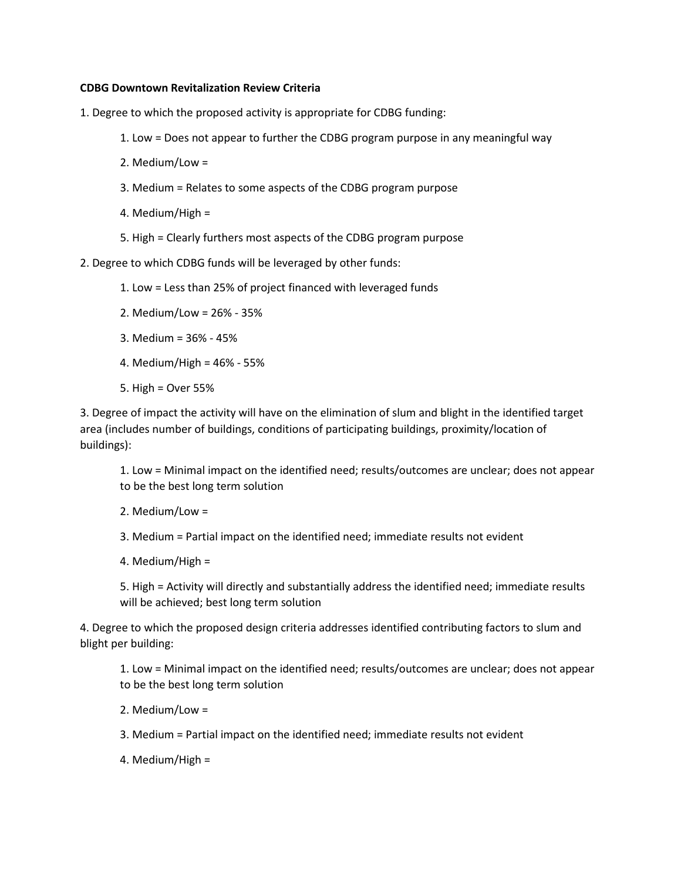## **CDBG Downtown Revitalization Review Criteria**

- 1. Degree to which the proposed activity is appropriate for CDBG funding:
	- 1. Low = Does not appear to further the CDBG program purpose in any meaningful way
	- 2. Medium/Low =
	- 3. Medium = Relates to some aspects of the CDBG program purpose
	- 4. Medium/High =
	- 5. High = Clearly furthers most aspects of the CDBG program purpose
- 2. Degree to which CDBG funds will be leveraged by other funds:
	- 1. Low = Less than 25% of project financed with leveraged funds
	- 2. Medium/Low = 26% 35%
	- 3. Medium = 36% 45%
	- 4. Medium/High = 46% 55%
	- 5. High = Over 55%

3. Degree of impact the activity will have on the elimination of slum and blight in the identified target area (includes number of buildings, conditions of participating buildings, proximity/location of buildings):

1. Low = Minimal impact on the identified need; results/outcomes are unclear; does not appear to be the best long term solution

- 2. Medium/Low =
- 3. Medium = Partial impact on the identified need; immediate results not evident
- 4. Medium/High =

5. High = Activity will directly and substantially address the identified need; immediate results will be achieved; best long term solution

4. Degree to which the proposed design criteria addresses identified contributing factors to slum and blight per building:

1. Low = Minimal impact on the identified need; results/outcomes are unclear; does not appear to be the best long term solution

- 2. Medium/Low =
- 3. Medium = Partial impact on the identified need; immediate results not evident
- 4. Medium/High =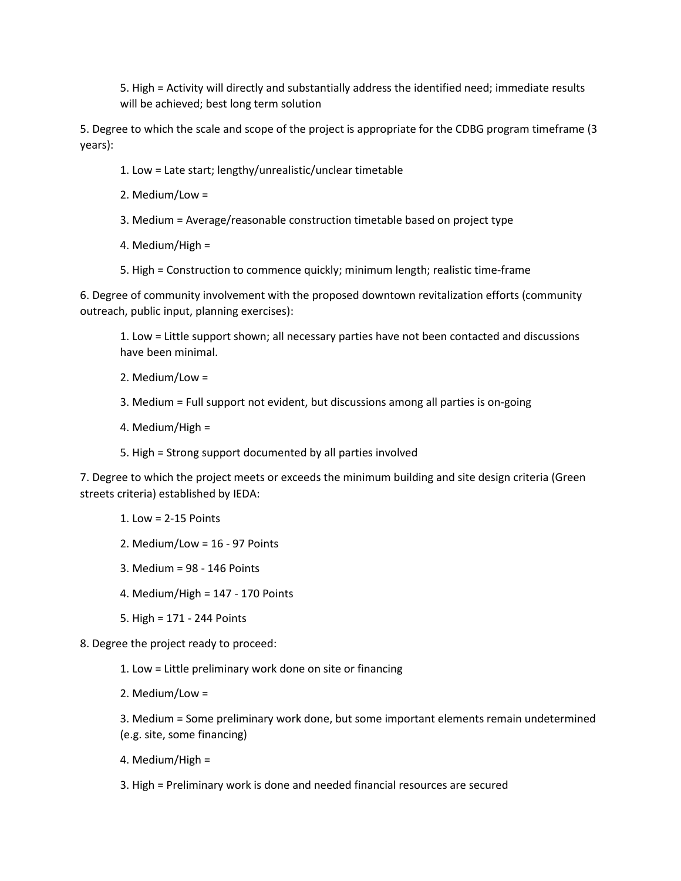5. High = Activity will directly and substantially address the identified need; immediate results will be achieved; best long term solution

5. Degree to which the scale and scope of the project is appropriate for the CDBG program timeframe (3 years):

- 1. Low = Late start; lengthy/unrealistic/unclear timetable
- 2. Medium/Low =
- 3. Medium = Average/reasonable construction timetable based on project type
- 4. Medium/High =
- 5. High = Construction to commence quickly; minimum length; realistic time-frame

6. Degree of community involvement with the proposed downtown revitalization efforts (community outreach, public input, planning exercises):

1. Low = Little support shown; all necessary parties have not been contacted and discussions have been minimal.

- 2. Medium/Low =
- 3. Medium = Full support not evident, but discussions among all parties is on-going
- 4. Medium/High =
- 5. High = Strong support documented by all parties involved

7. Degree to which the project meets or exceeds the minimum building and site design criteria (Green streets criteria) established by IEDA:

- 1. Low = 2-15 Points
- 2. Medium/Low = 16 97 Points
- 3. Medium = 98 146 Points
- 4. Medium/High = 147 170 Points
- 5. High = 171 244 Points
- 8. Degree the project ready to proceed:
	- 1. Low = Little preliminary work done on site or financing
	- 2. Medium/Low =

3. Medium = Some preliminary work done, but some important elements remain undetermined (e.g. site, some financing)

- 4. Medium/High =
- 3. High = Preliminary work is done and needed financial resources are secured